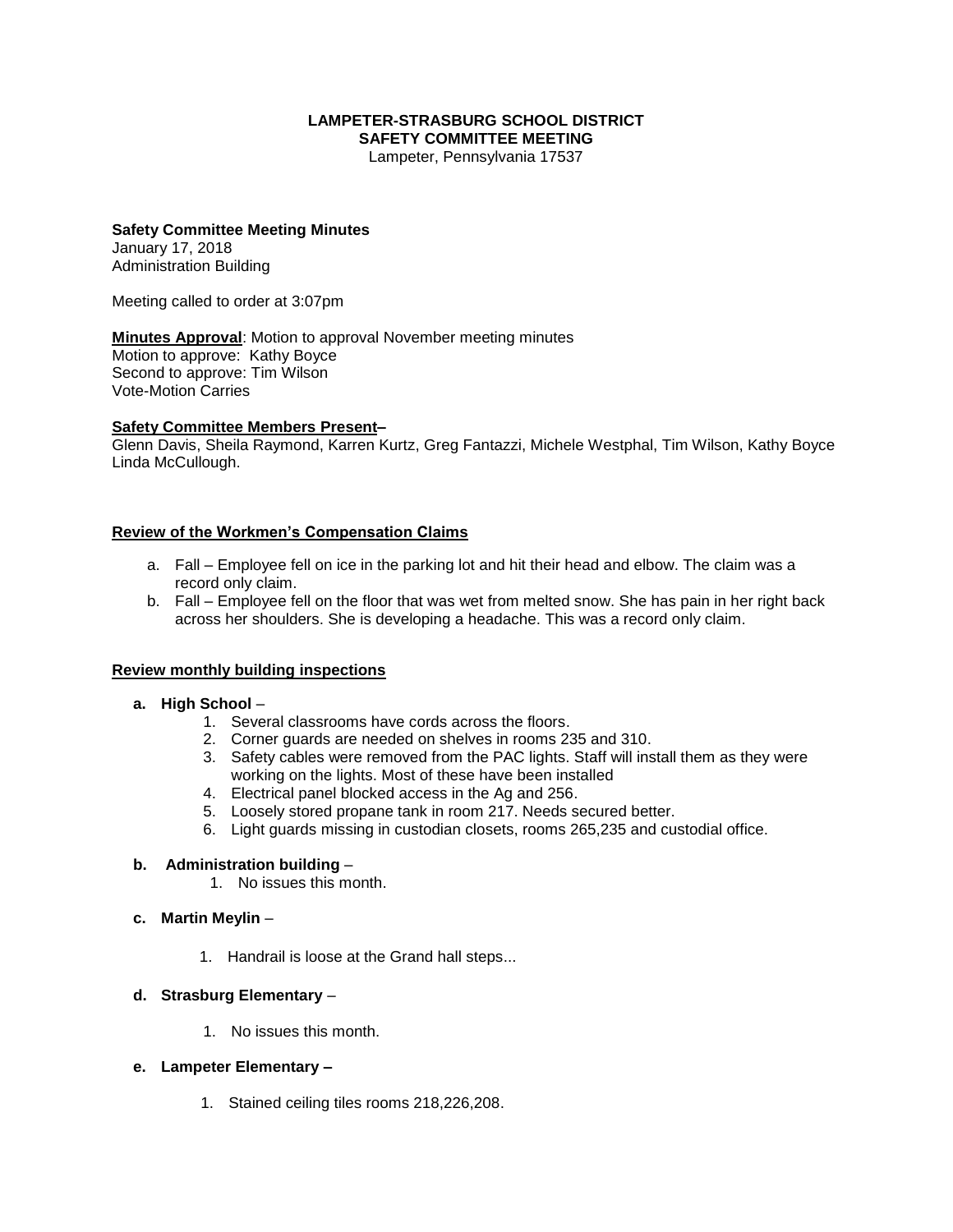#### **LAMPETER-STRASBURG SCHOOL DISTRICT SAFETY COMMITTEE MEETING**

Lampeter, Pennsylvania 17537

### **Safety Committee Meeting Minutes**

January 17, 2018 Administration Building

Meeting called to order at 3:07pm

**Minutes Approval**: Motion to approval November meeting minutes Motion to approve: Kathy Boyce Second to approve: Tim Wilson Vote-Motion Carries

#### **Safety Committee Members Present–**

Glenn Davis, Sheila Raymond, Karren Kurtz, Greg Fantazzi, Michele Westphal, Tim Wilson, Kathy Boyce Linda McCullough.

#### **Review of the Workmen's Compensation Claims**

- a. Fall Employee fell on ice in the parking lot and hit their head and elbow. The claim was a record only claim.
- b. Fall Employee fell on the floor that was wet from melted snow. She has pain in her right back across her shoulders. She is developing a headache. This was a record only claim.

#### **Review monthly building inspections**

- **a. High School**
	- 1. Several classrooms have cords across the floors.
	- 2. Corner guards are needed on shelves in rooms 235 and 310.
	- 3. Safety cables were removed from the PAC lights. Staff will install them as they were working on the lights. Most of these have been installed
	- 4. Electrical panel blocked access in the Ag and 256.
	- 5. Loosely stored propane tank in room 217. Needs secured better.
	- 6. Light guards missing in custodian closets, rooms 265,235 and custodial office.

#### **b. Administration building** –

- 1. No issues this month.
- **c. Martin Meylin**
	- 1. Handrail is loose at the Grand hall steps...

## **d. Strasburg Elementary** –

1. No issues this month.

#### **e. Lampeter Elementary –**

1. Stained ceiling tiles rooms 218,226,208.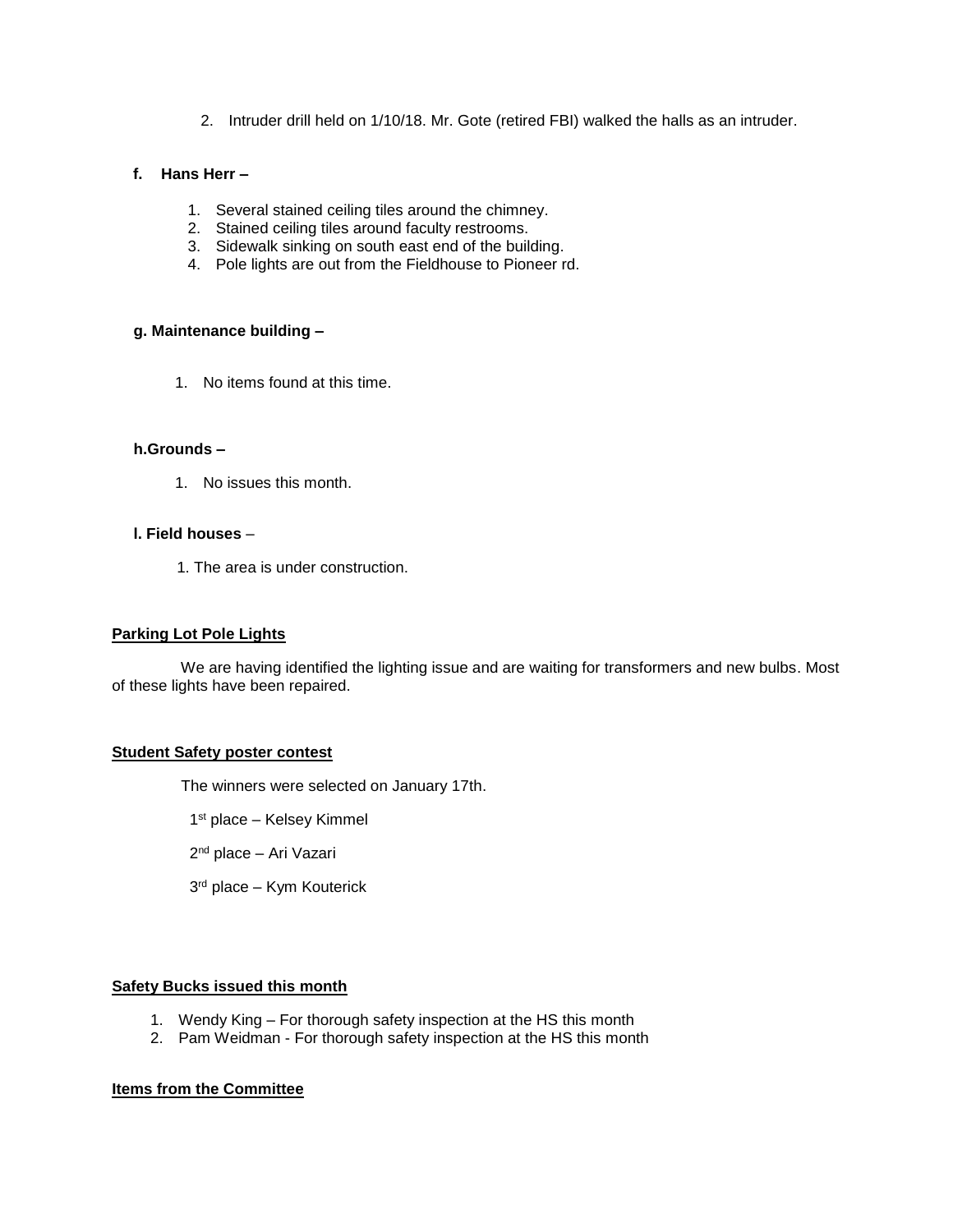2. Intruder drill held on 1/10/18. Mr. Gote (retired FBI) walked the halls as an intruder.

### **f. Hans Herr –**

- 1. Several stained ceiling tiles around the chimney.
- 2. Stained ceiling tiles around faculty restrooms.
- 3. Sidewalk sinking on south east end of the building.
- 4. Pole lights are out from the Fieldhouse to Pioneer rd.

#### **g. Maintenance building –**

1. No items found at this time.

## **h.Grounds –**

1. No issues this month.

## **l. Field houses** –

1. The area is under construction.

#### **Parking Lot Pole Lights**

 We are having identified the lighting issue and are waiting for transformers and new bulbs. Most of these lights have been repaired.

# **Student Safety poster contest**

The winners were selected on January 17th.

- 1 st place Kelsey Kimmel
- 2<sup>nd</sup> place Ari Vazari
- 3 rd place Kym Kouterick

#### **Safety Bucks issued this month**

- 1. Wendy King For thorough safety inspection at the HS this month
- 2. Pam Weidman For thorough safety inspection at the HS this month

#### **Items from the Committee**